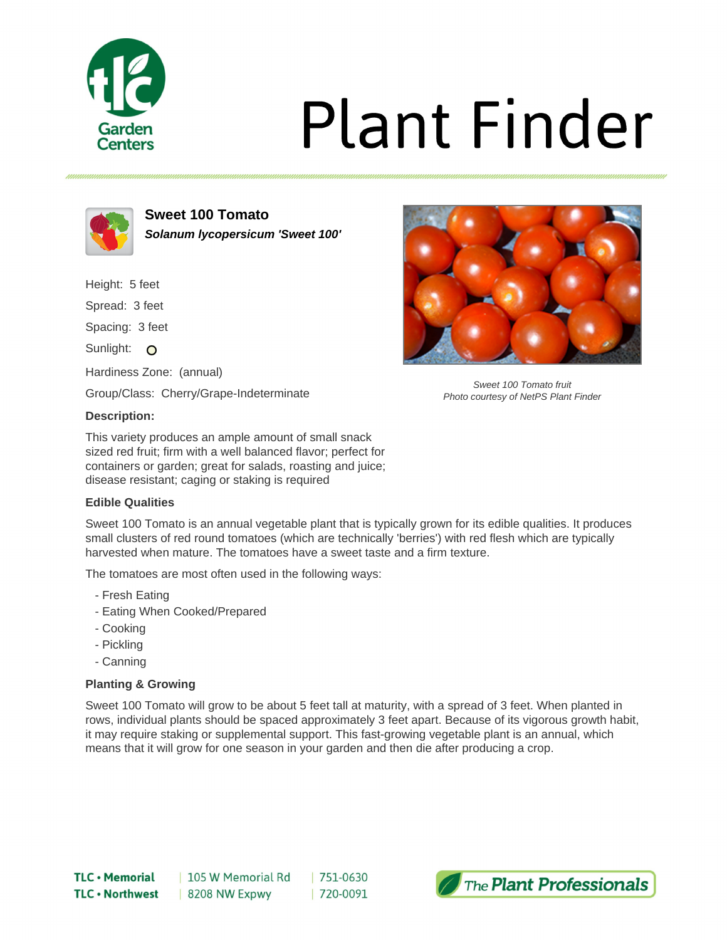

# **Plant Finder**



**Sweet 100 Tomato Solanum lycopersicum 'Sweet 100'**

Height: 5 feet Spread: 3 feet Spacing: 3 feet Sunlight: O

Hardiness Zone: (annual)

Group/Class: Cherry/Grape-Indeterminate

## **Description:**

This variety produces an ample amount of small snack sized red fruit; firm with a well balanced flavor; perfect for containers or garden; great for salads, roasting and juice; disease resistant; caging or staking is required

## **Edible Qualities**

Sweet 100 Tomato is an annual vegetable plant that is typically grown for its edible qualities. It produces small clusters of red round tomatoes (which are technically 'berries') with red flesh which are typically harvested when mature. The tomatoes have a sweet taste and a firm texture.

The tomatoes are most often used in the following ways:

- Fresh Eating
- Eating When Cooked/Prepared
- Cooking
- Pickling
- Canning

## **Planting & Growing**

Sweet 100 Tomato will grow to be about 5 feet tall at maturity, with a spread of 3 feet. When planted in rows, individual plants should be spaced approximately 3 feet apart. Because of its vigorous growth habit, it may require staking or supplemental support. This fast-growing vegetable plant is an annual, which means that it will grow for one season in your garden and then die after producing a crop.



Sweet 100 Tomato fruit Photo courtesy of NetPS Plant Finder